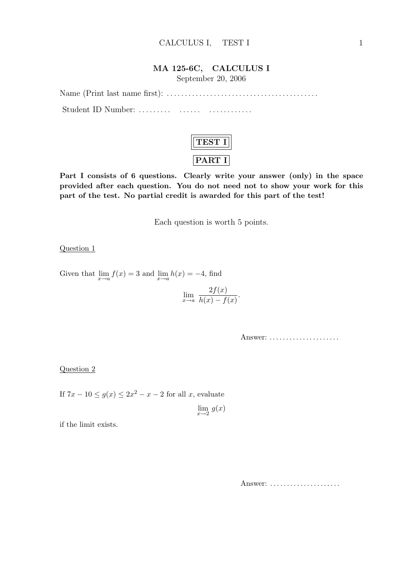### MA 125-6C, CALCULUS I

September 20, 2006

Name (Print last name first): . . . . . . . . . . . . . . . . . . . . . . . . . . . . . . . . . . . . . . . . . . Student ID Number: . . . . . . . . . . . . . . . . . . . . . . . . . . .



Part I consists of 6 questions. Clearly write your answer (only) in the space provided after each question. You do not need not to show your work for this part of the test. No partial credit is awarded for this part of the test!

Each question is worth 5 points.

#### Question 1

Given that  $\lim_{x \to a} f(x) = 3$  and  $\lim_{x \to a} h(x) = -4$ , find

$$
\lim_{x \to a} \frac{2f(x)}{h(x) - f(x)}.
$$

Answer: ......................

#### Question 2

If  $7x - 10 \le g(x) \le 2x^2 - x - 2$  for all x, evaluate

 $\lim_{x\to 2} g(x)$ 

if the limit exists.

Answer: ......................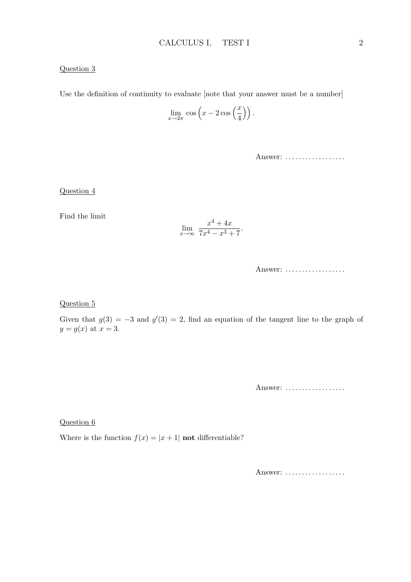### Question 3

Use the definition of continuity to evaluate [note that your answer must be a number]

$$
\lim_{x \to 2\pi} \cos \left(x - 2 \cos \left(\frac{x}{4}\right)\right).
$$

Answer: ..................

Question 4

Find the limit

$$
\lim_{x \to \infty} \frac{x^4 + 4x}{7x^4 - x^3 + 7}.
$$

Answer: ..................

Question 5

Given that  $g(3) = -3$  and  $g'(3) = 2$ , find an equation of the tangent line to the graph of  $y = g(x)$  at  $x = 3$ .

Answer: ..................

Question 6

Where is the function  $f(x) = |x + 1|$  **not** differentiable?

Answer: ..................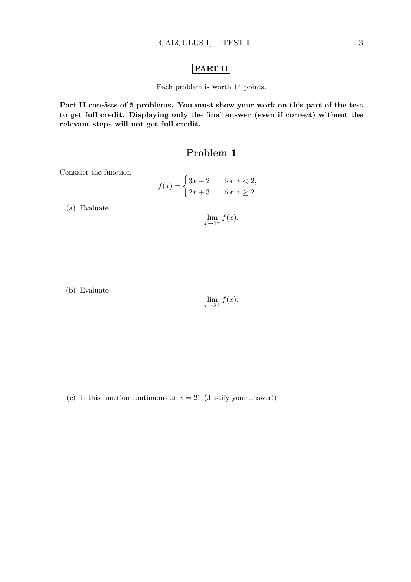### PART II

Each problem is worth 14 points.

Part II consists of 5 problems. You must show your work on this part of the test to get full credit. Displaying only the final answer (even if correct) without the relevant steps will not get full credit.

## Problem 1

Consider the function

$$
f(x) = \begin{cases} 3x - 2 & \text{for } x < 2, \\ 2x + 3 & \text{for } x \ge 2. \end{cases}
$$

(a) Evaluate

 $\lim_{x\to 2^-} f(x).$ 

(b) Evaluate

$$
\lim_{x \to 2^+} f(x).
$$

(c) Is this function continuous at  $x = 2$ ? (Justify your answer!)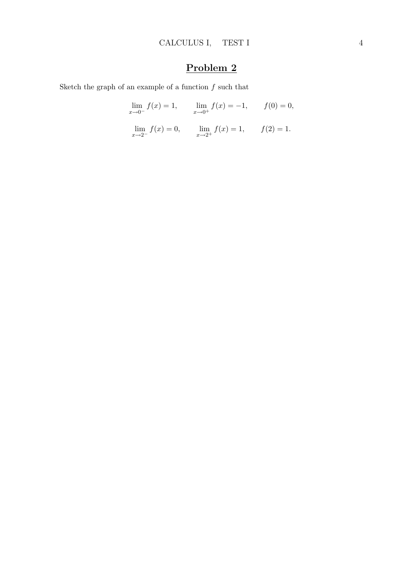Sketch the graph of an example of a function  $f$  such that

$$
\lim_{x \to 0^{-}} f(x) = 1, \qquad \lim_{x \to 0^{+}} f(x) = -1, \qquad f(0) = 0,
$$

$$
\lim_{x \to 2^{-}} f(x) = 0, \qquad \lim_{x \to 2^{+}} f(x) = 1, \qquad f(2) = 1.
$$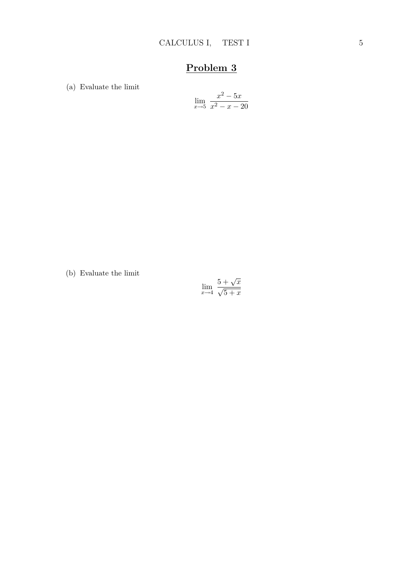(a) Evaluate the limit

$$
\lim_{x \to 5} \frac{x^2 - 5x}{x^2 - x - 20}
$$

(b) Evaluate the limit

$$
\lim_{x \to 4} \frac{5 + \sqrt{x}}{\sqrt{5 + x}}
$$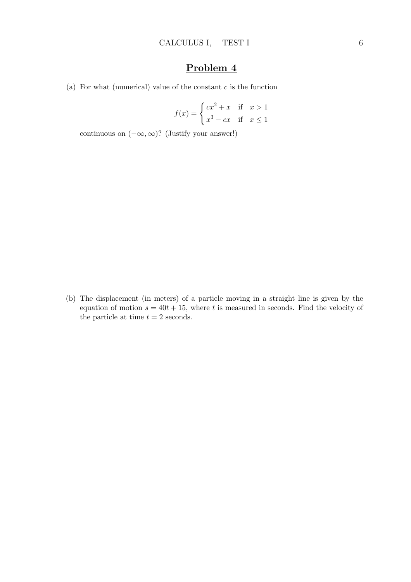(a) For what (numerical) value of the constant  $c$  is the function

$$
f(x) = \begin{cases} cx^2 + x & \text{if } x > 1 \\ x^3 - cx & \text{if } x \le 1 \end{cases}
$$

continuous on  $(-\infty, \infty)$ ? (Justify your answer!)

(b) The displacement (in meters) of a particle moving in a straight line is given by the equation of motion  $s = 40t + 15$ , where t is measured in seconds. Find the velocity of the particle at time  $t = 2$  seconds.